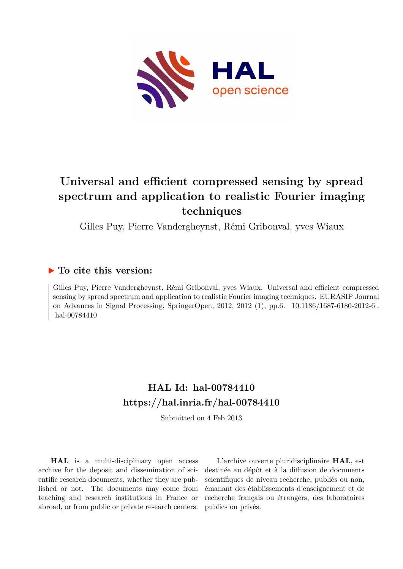

# **Universal and efficient compressed sensing by spread spectrum and application to realistic Fourier imaging techniques**

Gilles Puy, Pierre Vandergheynst, Rémi Gribonval, yves Wiaux

## **To cite this version:**

Gilles Puy, Pierre Vandergheynst, Rémi Gribonval, yves Wiaux. Universal and efficient compressed sensing by spread spectrum and application to realistic Fourier imaging techniques. EURASIP Journal on Advances in Signal Processing, SpringerOpen, 2012, 2012 (1), pp.6. 10.1186/1687-6180-2012-6. hal-00784410

# **HAL Id: hal-00784410 <https://hal.inria.fr/hal-00784410>**

Submitted on 4 Feb 2013

**HAL** is a multi-disciplinary open access archive for the deposit and dissemination of scientific research documents, whether they are published or not. The documents may come from teaching and research institutions in France or abroad, or from public or private research centers.

L'archive ouverte pluridisciplinaire **HAL**, est destinée au dépôt et à la diffusion de documents scientifiques de niveau recherche, publiés ou non, émanant des établissements d'enseignement et de recherche français ou étrangers, des laboratoires publics ou privés.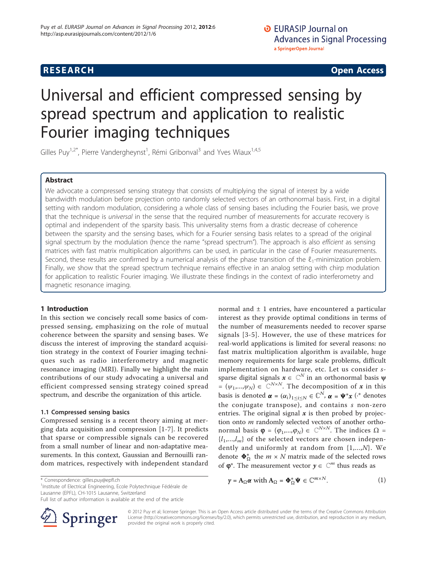**RESEARCH CONSTRUCTION CONSTRUCTS** 

# Universal and efficient compressed sensing by spread spectrum and application to realistic Fourier imaging techniques

Gilles Puy<sup>1,2\*</sup>, Pierre Vandergheynst<sup>1</sup>, Rémi Gribonval<sup>3</sup> and Yves Wiaux<sup>1,4,5</sup>

#### Abstract

We advocate a compressed sensing strategy that consists of multiplying the signal of interest by a wide bandwidth modulation before projection onto randomly selected vectors of an orthonormal basis. First, in a digital setting with random modulation, considering a whole class of sensing bases including the Fourier basis, we prove that the technique is universal in the sense that the required number of measurements for accurate recovery is optimal and independent of the sparsity basis. This universality stems from a drastic decrease of coherence between the sparsity and the sensing bases, which for a Fourier sensing basis relates to a spread of the original signal spectrum by the modulation (hence the name "spread spectrum"). The approach is also efficient as sensing matrices with fast matrix multiplication algorithms can be used, in particular in the case of Fourier measurements. Second, these results are confirmed by a numerical analysis of the phase transition of the  $\ell_1$ -minimization problem. Finally, we show that the spread spectrum technique remains effective in an analog setting with chirp modulation for application to realistic Fourier imaging. We illustrate these findings in the context of radio interferometry and magnetic resonance imaging.

#### 1 Introduction

In this section we concisely recall some basics of compressed sensing, emphasizing on the role of mutual coherence between the sparsity and sensing bases. We discuss the interest of improving the standard acquisition strategy in the context of Fourier imaging techniques such as radio interferometry and magnetic resonance imaging (MRI). Finally we highlight the main contributions of our study advocating a universal and efficient compressed sensing strategy coined spread spectrum, and describe the organization of this article.

#### 1.1 Compressed sensing basics

Compressed sensing is a recent theory aiming at merging data acquisition and compression [[1](#page-12-0)-[7\]](#page-12-0). It predicts that sparse or compressible signals can be recovered from a small number of linear and non-adaptative measurements. In this context, Gaussian and Bernouilli random matrices, respectively with independent standard normal and ± 1 entries, have encountered a particular interest as they provide optimal conditions in terms of the number of measurements needed to recover sparse signals [[3-5](#page-12-0)]. However, the use of these matrices for real-world applications is limited for several reasons: no fast matrix multiplication algorithm is available, huge memory requirements for large scale problems, difficult implementation on hardware, etc. Let us consider ssparse digital signals  $x \in \mathbb{C}^N$  in an orthonormal basis  $\psi$ =  $(\psi_1,...,\psi_N) \in \mathbb{C}^{N \times N}$ . The decomposition of x in this basis is denoted  $\boldsymbol{\alpha} = (\alpha_i)_{1 \leq i \leq N} \in \mathbb{C}^N$ ,  $\boldsymbol{\alpha} = \boldsymbol{\Psi}^* \boldsymbol{x}$  ( $\cdot^*$  denotes the conjugate transpose), and contains s non-zero entries. The original signal  $x$  is then probed by projection onto *m* randomly selected vectors of another orthonormal basis  $\varphi = (\varphi_1,...,\varphi_N) \in \mathbb{C}^{N \times N}$ . The indices  $\Omega$  =  $\{l_1,...,l_m\}$  of the selected vectors are chosen independently and uniformly at random from {1,...,N}. We denote  $\Phi_{\Omega}^*$  the  $m \times N$  matrix made of the selected rows of  $\varphi^*$ . The measurement vector  $y \in \mathbb{C}^m$  thus reads as

 $\gamma = A_{\Omega} \alpha$  with  $A_{\Omega} = \Phi_{\Omega}^* \Psi \in \mathbb{C}^{m \times N}$ . (1)

<sup>1</sup>Institute of Electrical Engineering, Ecole Polytechnique Fédérale de Lausanne (EPFL), CH-1015 Lausanne, Switzerland

Full list of author information is available at the end of the article



© 2012 Puy et al; licensee Springer. This is an Open Access article distributed under the terms of the Creative Commons Attribution License [\(http://creativecommons.org/licenses/by/2.0](http://creativecommons.org/licenses/by/2.0)), which permits unrestricted use, distribution, and reproduction in any medium, provided the original work is properly cited.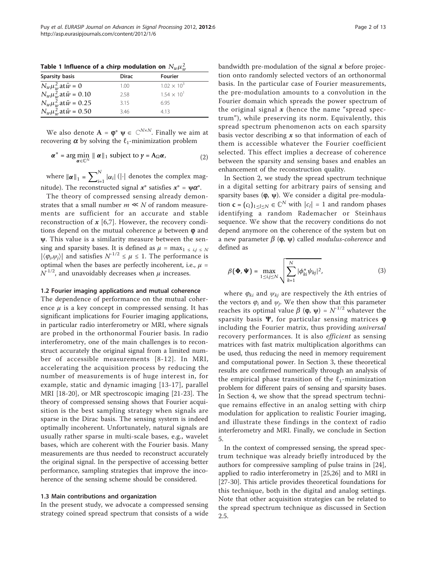<span id="page-2-0"></span>Table 1 Influence of a chirp modulation on  $N_w \mu_w^2$ 

| <b>Sparsity basis</b>             | <b>Dirac</b> | <b>Fourier</b>       |
|-----------------------------------|--------------|----------------------|
| $N_w \mu_w^2$ at $\bar{w} = 0$    | 1.00         | $1.02 \times 10^{3}$ |
| $N_w \mu_w^2$ at $\bar{w}$ = 0.10 | 2.58         | $1.54 \times 10^{1}$ |
| $N_w \mu_w^2$ at $\bar{w}$ = 0.25 | 3.15         | 6.95                 |
| $N_w \mu_w^2$ at $\bar{w}$ = 0.50 | 3.46         | 413                  |

We also denote  $A = \varphi^* \psi \in \mathbb{C}^{N \times N}$ . Finally we aim at recovering  $\alpha$  by solving the  $\ell_1$ -minimization problem

$$
\boldsymbol{\alpha}^* = \arg\min_{\boldsymbol{\alpha} \in \mathbb{C}^N} \parallel \boldsymbol{\alpha} \parallel_1 \text{ subject to } \boldsymbol{\gamma} = \mathbf{A}_{\Omega} \boldsymbol{\alpha}, \tag{2}
$$

where  $\left\Vert \boldsymbol{\alpha}\right\Vert _{1}=\sum_{i=1}^{N}$  $\prod_{i=1}^{\infty} |\alpha_i|$  (|·| denotes the complex magnitude). The reconstructed signal  $x^*$  satisfies  $x^* = \psi \alpha^*$ .

The theory of compressed sensing already demonstrates that a small number  $m \ll N$  of random measurements are sufficient for an accurate and stable reconstruction of  $x$  [\[6](#page-12-0),[7\]](#page-12-0). However, the recovery conditions depend on the mutual coherence  $\mu$  between  $\varphi$  and ψ. This value is a similarity measure between the sensing and sparsity bases. It is defined as  $\mu = \max_{1 \le i,j \le N}$  $|\langle \varphi_i, \psi_j \rangle|$  and satisfies  $N^{-1/2} \leq \mu \leq 1$ . The performance is optimal when the bases are perfectly incoherent, i.e.,  $\mu$  =  $N^{1/2}$ , and unavoidably decreases when  $\mu$  increases.

#### 1.2 Fourier imaging applications and mutual coherence

The dependence of performance on the mutual coherence  $\mu$  is a key concept in compressed sensing. It has significant implications for Fourier imaging applications, in particular radio interferometry or MRI, where signals are probed in the orthonormal Fourier basis. In radio interferometry, one of the main challenges is to reconstruct accurately the original signal from a limited number of accessible measurements [[8-12\]](#page-12-0). In MRI, accelerating the acquisition process by reducing the number of measurements is of huge interest in, for example, static and dynamic imaging [[13-17\]](#page-12-0), parallel MRI [[18-20\]](#page-12-0), or MR spectroscopic imaging [\[21](#page-12-0)-[23\]](#page-12-0). The theory of compressed sensing shows that Fourier acquisition is the best sampling strategy when signals are sparse in the Dirac basis. The sensing system is indeed optimally incoherent. Unfortunately, natural signals are usually rather sparse in multi-scale bases, e.g., wavelet bases, which are coherent with the Fourier basis. Many measurements are thus needed to reconstruct accurately the original signal. In the perspective of accessing better performance, sampling strategies that improve the incoherence of the sensing scheme should be considered.

#### 1.3 Main contributions and organization

In the present study, we advocate a compressed sensing strategy coined spread spectrum that consists of a wide bandwidth pre-modulation of the signal  $x$  before projection onto randomly selected vectors of an orthonormal basis. In the particular case of Fourier measurements, the pre-modulation amounts to a convolution in the Fourier domain which spreads the power spectrum of the original signal  $x$  (hence the name "spread spectrum"), while preserving its norm. Equivalently, this spread spectrum phenomenon acts on each sparsity basis vector describing  $x$  so that information of each of them is accessible whatever the Fourier coefficient selected. This effect implies a decrease of coherence between the sparsity and sensing bases and enables an enhancement of the reconstruction quality.

In Section 2, we study the spread spectrum technique in a digital setting for arbitrary pairs of sensing and sparsity bases  $(\varphi, \psi)$ . We consider a digital pre-modulation **c** =  $(c_l)_{1 \le l \le N} \in \mathbb{C}^N$  with  $|c_l| = 1$  and random phases identifying a random Rademacher or Steinhaus sequence. We show that the recovery conditions do not depend anymore on the coherence of the system but on a new parameter  $\beta$  ( $\varphi$ ,  $\psi$ ) called *modulus-coherence* and defined as

$$
\beta(\mathbf{\Phi}, \mathbf{\Psi}) = \max_{1 \le i,j \le N} \sqrt{\sum_{k=1}^{N} |\phi_{ki}^* \psi_{kj}|^2},
$$
\n(3)

where  $\varphi_{ki}$  and  $\psi_{ki}$  are respectively the kth entries of the vectors  $\varphi_i$  and  $\psi_j$ . We then show that this parameter reaches its optimal value  $\beta$  ( $\varphi$ ,  $\psi$ ) =  $N^{1/2}$  whatever the sparsity basis  $\Psi$ , for particular sensing matrices  $\varphi$ including the Fourier matrix, thus providing universal recovery performances. It is also efficient as sensing matrices with fast matrix multiplication algorithms can be used, thus reducing the need in memory requirement and computational power. In Section 3, these theoretical results are confirmed numerically through an analysis of the empirical phase transition of the  $\ell_1$ -minimization problem for different pairs of sensing and sparsity bases. In Section 4, we show that the spread spectrum technique remains effective in an analog setting with chirp modulation for application to realistic Fourier imaging, and illustrate these findings in the context of radio interferometry and MRI. Finally, we conclude in Section 5.

In the context of compressed sensing, the spread spectrum technique was already briefly introduced by the authors for compressive sampling of pulse trains in [\[24](#page-12-0)], applied to radio interferometry in [[25](#page-12-0),[26](#page-13-0)] and to MRI in [[27-30](#page-13-0)]. This article provides theoretical foundations for this technique, both in the digital and analog settings. Note that other acquisition strategies can be related to the spread spectrum technique as discussed in Section 2.5.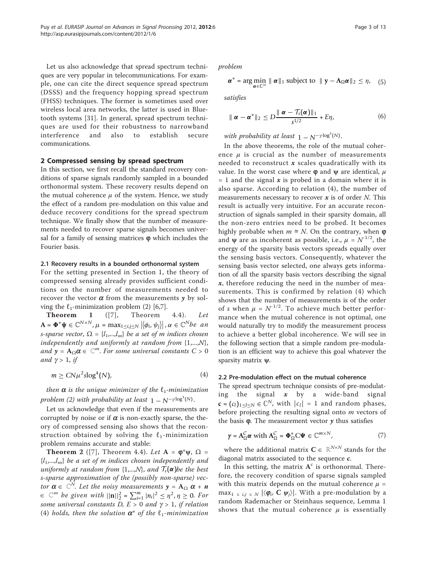Let us also acknowledge that spread spectrum techniques are very popular in telecommunications. For example, one can cite the direct sequence spread spectrum (DSSS) and the frequency hopping spread spectrum (FHSS) techniques. The former is sometimes used over wireless local area networks, the latter is used in Bluetooth systems [\[31](#page-13-0)]. In general, spread spectrum techniques are used for their robustness to narrowband interference and also to establish secure communications.

#### 2 Compressed sensing by spread spectrum

In this section, we first recall the standard recovery conditions of sparse signals randomly sampled in a bounded orthonormal system. These recovery results depend on the mutual coherence  $\mu$  of the system. Hence, we study the effect of a random pre-modulation on this value and deduce recovery conditions for the spread spectrum technique. We finally show that the number of measurements needed to recover sparse signals becomes universal for a family of sensing matrices  $\varphi$  which includes the Fourier basis.

#### 2.1 Recovery results in a bounded orthonormal system

For the setting presented in Section 1, the theory of compressed sensing already provides sufficient conditions on the number of measurements needed to recover the vector  $\alpha$  from the measurements  $y$  by solving the  $\ell_1$ -minimization problem (2) [[6,7\]](#page-12-0).

**Theorem 1** ([[7\]](#page-12-0), Theorem 4.4). Let  $\mathbf{A} = \mathbf{\Phi}^* \mathbf{\psi} \in \mathbb{C}^{N \times N}, \mu = \max_{1 \le i,j \le N} |\langle \phi_i, \psi_j \rangle|, \alpha \in \mathbb{C}^{N}$ be an s-sparse vector,  $\Omega = \{l_1,...,l_m\}$  be a set of m indices chosen independently and uniformly at random from  $\{1,...,N\}$ , and  $y = A_{\Omega} \alpha \in \mathbb{C}^m$ . For some universal constants  $C > 0$ and  $\gamma > 1$ , if

$$
m \geq CN\mu^2 \text{slog}^4(N),\tag{4}
$$

then  $\alpha$  is the unique minimizer of the  $\ell_1$ -minimization problem (2) with probability at least  $1 - N^{-\gamma \log^3(N)}$ .

Let us acknowledge that even if the measurements are corrupted by noise or if  $\alpha$  is non-exactly sparse, the theory of compressed sensing also shows that the reconstruction obtained by solving the  $\ell_1$ -minimization problem remains accurate and stable:

**Theorem 2** ([[7\]](#page-12-0), Theorem 4.4). Let  $A = \varphi^* \psi$ ,  $\Omega =$  $\{l_1,...,l_m\}$  be a set of m indices chosen independently and uniformly at random from  $\{1,...,N\}$ , and  $\mathcal{T}_s(\alpha)$  be the best s-sparse approximation of the (possibly non-sparse) vector  $\pmb{\alpha} \in \ \mathbb{C}^N$ . Let the noisy measurements  $\pmb{y}$  =  $\mathbf{A}_{\Omega}$   $\pmb{\alpha}$  +  $\pmb{n}$  $\in$   $\mathbb{C}^m$  be given with  $||\mathbf{n}||_2^2 = \sum_{i=1}^m |n_i|^2 \leq \eta^2$ ,  $\eta \geq 0$ . For some universal constants D,  $E > 0$  and  $\gamma > 1$ , if relation (4) holds, then the solution  $\alpha^*$  of the  $\ell_1$ -minimization

problem

$$
\boldsymbol{\alpha}^* = \arg\min_{\boldsymbol{\alpha} \in \mathbb{C}^N} \parallel \boldsymbol{\alpha} \parallel_1 \text{ subject to } \parallel \mathbf{y} - \mathbf{A}_{\Omega} \boldsymbol{\alpha} \parallel_2 \leq \eta, \quad (5)
$$

satisfies

$$
\|\boldsymbol{\alpha}-\boldsymbol{\alpha}^*\|_2 \le D\frac{\|\boldsymbol{\alpha}-\mathcal{T}_s(\boldsymbol{\alpha})\|_1}{s^{1/2}} + E\eta,\tag{6}
$$

with probability at least  $1 - N^{-\gamma \log^3(N)}$ .

In the above theorems, the role of the mutual coherence  $\mu$  is crucial as the number of measurements needed to reconstruct  $x$  scales quadratically with its value. In the worst case where  $\varphi$  and  $\psi$  are identical,  $\mu$  $= 1$  and the signal x is probed in a domain where it is also sparse. According to relation (4), the number of measurements necessary to recover  $x$  is of order  $N$ . This result is actually very intuitive. For an accurate reconstruction of signals sampled in their sparsity domain, all the non-zero entries need to be probed. It becomes highly probable when  $m \approx N$ . On the contrary, when  $\varphi$ and  $\psi$  are as incoherent as possible, i.e.,  $\mu = N^{1/2}$ , the energy of the sparsity basis vectors spreads equally over the sensing basis vectors. Consequently, whatever the sensing basis vector selected, one always gets information of all the sparsity basis vectors describing the signal  $x$ , therefore reducing the need in the number of measurements. This is confirmed by relation (4) which shows that the number of measurements is of the order of s when  $\mu = N^{-1/2}$ . To achieve much better performance when the mutual coherence is not optimal, one would naturally try to modify the measurement process to achieve a better global incoherence. We will see in the following section that a simple random pre-modulation is an efficient way to achieve this goal whatever the sparsity matrix ψ.

#### 2.2 Pre-modulation effect on the mutual coherence

The spread spectrum technique consists of pre-modulating the signal  $x$  by a wide-band signal  $\mathbf{c} = (c_l)_{1 \leq l \leq N} \in \mathbb{C}^N$ , with  $|c_l| = 1$  and random phases, before projecting the resulting signal onto  $m$  vectors of the basis  $\phi$ . The measurement vector  $\gamma$  thus satisfies

$$
\gamma = A_{\Omega}^{\mathcal{C}} \alpha \text{ with } A_{\Omega}^{\mathcal{C}} = \Phi_{\Omega}^* \mathbf{C} \Psi \in \mathbb{C}^{m \times N}, \qquad (7)
$$

where the additional matrix  $\mathbf{C} \in \mathbb{R}^{N \times N}$  stands for the diagonal matrix associated to the sequence  $c$ .

In this setting, the matrix  $A<sup>c</sup>$  is orthonormal. Therefore, the recovery condition of sparse signals sampled with this matrix depends on the mutual coherence  $\mu =$ max<sub>1 ≤ i,j ≤ N</sub>  $|\langle \phi_i, C \psi_j \rangle|$ . With a pre-modulation by a random Rademacher or Steinhaus sequence, Lemma 1 shows that the mutual coherence  $\mu$  is essentially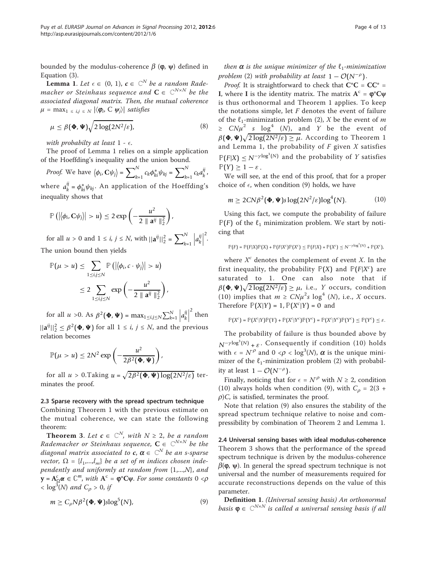bounded by the modulus-coherence  $\beta$  ( $\varphi$ ,  $\psi$ ) defined in Equation (3).

**Lemma 1.** Let  $\epsilon \in (0, 1)$ ,  $c \in \mathbb{C}^N$  be a random Rademacher or Steinhaus sequence and  $\mathbf{C} \in \ \mathbb{C}^{N \times N}$  be the associated diagonal matrix. Then, the mutual coherence  $\mu = \max_{1 \le i,j \le N} |\langle \boldsymbol{\varphi}_i, \boldsymbol{\zeta} | \boldsymbol{\psi}_j \rangle|$  satisfies

$$
\mu \le \beta(\Phi, \Psi) \sqrt{2 \log(2N^2/\varepsilon)}, \tag{8}
$$

with probabilty at least  $1 - \epsilon$ .

The proof of Lemma 1 relies on a simple application of the Hoeffding's inequality and the union bound.

*Proof.* We have 
$$
\langle \phi_i, \mathbf{C} \psi_j \rangle = \sum_{k=1}^N c_k \phi_{ki}^* \psi_{kj} = \sum_{k=1}^N c_k a_k^{ij}
$$
.

where *a ij*  $\phi_k^{ij} = \phi_{ki}^* \psi_{kj}$ . An application of the Hoeffding's inequality shows that

$$
\mathbb{P}\left(\left|\left\langle \phi_i, \mathbf{C} \psi_j \right\rangle\right| > u\right) \leq 2 \exp\left(-\frac{u^2}{2 \parallel \mathbf{a}^{ij} \parallel_2^2}\right),
$$

for all  $u > 0$  and  $1 \le i, j \le N$ , with  $||a^{ij}||_2^2 = \sum_{k=1}^{N}$ *k*=1  $a_k^{ij}$ *k* 2 . The union bound then yields

$$
\mathbb{P}(\mu > u) \leq \sum_{1 \leq i,j \leq N} \mathbb{P}\left(\left|\left\langle \phi_i, c \cdot \psi_j \right\rangle\right| > u\right)
$$
  

$$
\leq 2 \sum_{1 \leq i,j \leq N} \exp\left(-\frac{u^2}{2 \parallel \mathbf{a}^{ij} \parallel_2^2}\right),
$$

for all  $u > 0$ . As  $\beta^2(\Phi, \Psi) = \max_{1 \le i, j \le N} \sum_{k=1}^{N} \left| a_k^{ij} \right|$ *k*  $2$  then  $||\mathbf{a}^{ij}||_2^2 \leq \beta^2(\Phi, \Psi)$  for all  $1 \leq i, j \leq N$ , and the previous relation becomes

$$
\mathbb{P}(\mu > u) \le 2N^2 \exp\left(-\frac{u^2}{2\beta^2(\Phi,\Psi)}\right),\,
$$

for all  $u > 0$ .Taking  $u = \sqrt{2\beta^2(\Phi, \Psi) \log(2N^2/\varepsilon)}$  terminates the proof.

#### 2.3 Sparse recovery with the spread spectrum technique

Combining Theorem 1 with the previous estimate on the mutual coherence, we can state the following theorem:

**Theorem 3.** Let  $c \in \mathbb{C}^N$ , with  $N \geq 2$ , be a random Rademacher or Steinhaus sequence,  $\mathbf{C} \in \ \mathbb{C}^{N \times N}$  be the diagonal matrix associated to  $\textit{\textbf{c}}$ ,  $\pmb{\alpha} \in \, \mathbb{C}^{N}$  be an s-sparse vector,  $\Omega = \{l_1,...,l_m\}$  be a set of m indices chosen independently and uniformly at random from  $\{1,...,N\}$ , and **y** =  $A_{\Omega}^c$  α ∈  $\mathbb{C}^m$ , with  $A^c$  =  $\varphi^*C\psi$ . For some constants 0 < ρ  $<$  log<sup>3</sup>(N) and C<sub>p</sub> > 0, if

$$
m \ge C_{\rho} N \beta^2(\Phi, \Psi) \text{slog}^5(N), \tag{9}
$$

then  $\alpha$  is the unique minimizer of the  $\ell_1$ -minimization problem (2) with probability at least  $1 - \mathcal{O}(N^{-\rho})$ .

*Proof.* It is straightforward to check that  $C^*C = CC^* =$ I, where I is the identity matrix. The matrix  $A^c = \varphi^*C\psi$ is thus orthonormal and Theorem 1 applies. To keep the notations simple, let  $F$  denotes the event of failure of the  $\ell_1$ -minimization problem (2), X be the event of m  $\geq CN\mu^2$  s  $\log^4$  (N), and Y be the event of  $\beta(\Phi,\Psi)\sqrt{2\log(2N^2/\varepsilon)}\geq\mu.$  According to Theorem 1 and Lemma 1, the probability of  $F$  given  $X$  satisfies  $\mathbb{P}(F|X) \leq N^{-\gamma \log^3(N)}$  and the probability of Y satisfies  $\mathbb{P}(Y) \geq 1 - \varepsilon$ .

We will see, at the end of this proof, that for a proper choice of  $\epsilon$ , when condition (9) holds, we have

$$
m \ge 2C\mathcal{N}\beta^2(\Phi, \Psi)s\log(2N^2/\varepsilon)\log^4(N). \tag{10}
$$

Using this fact, we compute the probability of failure  $P(F)$  of the  $\ell_1$  minimization problem. We start by noticing that

$$
\mathbb{P}(F) = \mathbb{P}(F|X)\mathbb{P}(X) + \mathbb{P}(F|X^c)\mathbb{P}(X^c) \leq \mathbb{P}(F|X) + \mathbb{P}(X^c) \leq N^{-\gamma \log^3(N)} + \mathbb{P}(X^c),
$$

where  $X^c$  denotes the complement of event X. In the first inequality, the probability  $\mathbb{P}(X)$  and  $\mathbb{P}(F|X^c)$  are saturated to 1. One can also note that if  $\beta(\mathbf{\Phi},\mathbf{\Psi}) \sqrt{2\log(2N^2/\varepsilon)} \geq \mu$ , i.e.,  $Y$  occurs, condition (10) implies that  $m \geq CN\mu^2 s \log^4 (N)$ , i.e., X occurs. Therefore  $\mathbb{P}(X|Y) = 1$ ,  $\mathbb{P}(X^c|Y) = 0$  and

$$
\mathbb{P}(X^c) = \mathbb{P}(X^c|Y)\mathbb{P}(Y) + \mathbb{P}(X^c|Y^c)\mathbb{P}(Y^c) = \mathbb{P}(X^c|Y^c)\mathbb{P}(Y^c) \le \mathbb{P}(Y^c) \le \varepsilon.
$$

The probability of failure is thus bounded above by  $N^{-\gamma \log^3(N)} + \varepsilon$ . Consequently if condition (10) holds with  $\epsilon = N^{\rho}$  and  $0 < \rho < \log^3(N)$ ,  $\alpha$  is the unique minimizer of the  $\ell_1$ -minimization problem (2) with probability at least  $1 - \mathcal{O}(N^{-\rho})$ .

Finally, noticing that for  $\epsilon = N^{\rho}$  with  $N \ge 2$ , condition (10) always holds when condition (9), with  $C<sub>o</sub> = 2(3 +$  $\rho$ )C, is satisfied, terminates the proof.

Note that relation (9) also ensures the stability of the spread spectrum technique relative to noise and compressibility by combination of Theorem 2 and Lemma 1.

2.4 Universal sensing bases with ideal modulus-coherence Theorem 3 shows that the performance of the spread spectrum technique is driven by the modulus-coherence  $\beta(\varphi, \psi)$ . In general the spread spectrum technique is not universal and the number of measurements required for accurate reconstructions depends on the value of this parameter.

Definition 1. (Universal sensing basis) An orthonormal basis  $\varphi \in \mathbb{C}^{N \times N}$  is called a universal sensing basis if all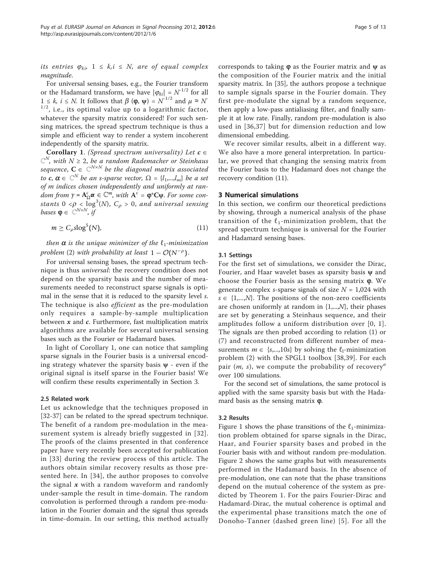its entries  $\varphi_{ki}$ ,  $1 \leq k, i \leq N$ , are of equal complex magnitude.

For universal sensing bases, e.g., the Fourier transform or the Hadamard transform, we have  $|\varphi_{ki}| = N^{1/2}$  for all  $1 \leq k, i \leq N$ . It follows that  $\beta(\varphi, \psi) = N^{-1/2}$  and  $\mu \approx N$  $1/2$ , i.e., its optimal value up to a logarithmic factor, whatever the sparsity matrix considered! For such sensing matrices, the spread spectrum technique is thus a simple and efficient way to render a system incoherent independently of the sparsity matrix.

**Corollary 1.** (Spread spectrum universality) Let  $c \in$  $\mathbb{C}^N$ , with  $N \geq 2$ , be a random Rademacher or Steinhaus sequence,  $\mathbf{C} \in \ \mathbb{C}^{N \times N}$  be the diagonal matrix associated to  $c, \alpha \in \mathbb{C}^N$  be an s-sparse vector,  $\Omega = \{l_1,...,l_m\}$  be a set of m indices chosen independently and uniformly at ran $dom from y = A_0^c \alpha \in \mathbb{C}^m$ , with  $A^c = \varphi^*C\psi$ . For some constants  $0 < \rho < \log^3(N)$ ,  $C_\rho > 0$ , and universal sensing bases  $\boldsymbol{\varphi} \in \mathbb{C}^{N \times N}$ , if

$$
m \ge C_{\rho} \text{slog}^5(N),\tag{11}
$$

then  $\alpha$  is the unique minimizer of the  $\ell_1$ -minimization problem (2) with probability at least  $1 - \mathcal{O}(N^{-\rho})$ .

For universal sensing bases, the spread spectrum technique is thus universal: the recovery condition does not depend on the sparsity basis and the number of measurements needed to reconstruct sparse signals is optimal in the sense that it is reduced to the sparsity level s. The technique is also *efficient* as the pre-modulation only requires a sample-by-sample multiplication between  $x$  and  $c$ . Furthermore, fast multiplication matrix algorithms are available for several universal sensing bases such as the Fourier or Hadamard bases.

In light of Corollary 1, one can notice that sampling sparse signals in the Fourier basis is a universal encoding strategy whatever the sparsity basis  $\psi$  - even if the original signal is itself sparse in the Fourier basis! We will confirm these results experimentally in Section 3.

#### 2.5 Related work

Let us acknowledge that the techniques proposed in [[32-37\]](#page-13-0) can be related to the spread spectrum technique. The benefit of a random pre-modulation in the measurement system is already briefly suggested in [[32\]](#page-13-0). The proofs of the claims presented in that conference paper have very recently been accepted for publication in [\[33\]](#page-13-0) during the review process of this article. The authors obtain similar recovery results as those presented here. In [[34\]](#page-13-0), the author proposes to convolve the signal  $x$  with a random waveform and randomly under-sample the result in time-domain. The random convolution is performed through a random pre-modulation in the Fourier domain and the signal thus spreads in time-domain. In our setting, this method actually corresponds to taking  $\varphi$  as the Fourier matrix and  $\psi$  as the composition of the Fourier matrix and the initial sparsity matrix. In [\[35](#page-13-0)], the authors propose a technique to sample signals sparse in the Fourier domain. They first pre-modulate the signal by a random sequence, then apply a low-pass antialiasing filter, and finally sample it at low rate. Finally, random pre-modulation is also used in [[36,37](#page-13-0)] but for dimension reduction and low dimensional embedding.

We recover similar results, albeit in a different way. We also have a more general interpretation. In particular, we proved that changing the sensing matrix from the Fourier basis to the Hadamard does not change the recovery condition (11).

#### 3 Numerical simulations

In this section, we confirm our theoretical predictions by showing, through a numerical analysis of the phase transition of the  $\ell_1$ -minimization problem, that the spread spectrum technique is universal for the Fourier and Hadamard sensing bases.

#### 3.1 Settings

For the first set of simulations, we consider the Dirac, Fourier, and Haar wavelet bases as sparsity basis  $\psi$  and choose the Fourier basis as the sensing matrix  $\varphi$ . We generate complex *s*-sparse signals of size  $N = 1,024$  with  $s \in \{1,...,N\}$ . The positions of the non-zero coefficients are chosen uniformly at random in  $\{1,...,N\}$ , their phases are set by generating a Steinhaus sequence, and their amplitudes follow a uniform distribution over [0, 1]. The signals are then probed according to relation (1) or (7) and reconstructed from different number of measurements  $m \in \{s,...,10s\}$  by solving the  $\ell_1$ -minimization problem (2) with the SPGL1 toolbox [[38,39](#page-13-0)]. For each pair  $(m, s)$ , we compute the probability of recovery<sup>*a*</sup> over 100 simulations.

For the second set of simulations, the same protocol is applied with the same sparsity basis but with the Hadamard basis as the sensing matrix  $\varphi$ .

#### 3.2 Results

Figure [1](#page-6-0) shows the phase transitions of the  $\ell_1$ -minimization problem obtained for sparse signals in the Dirac, Haar, and Fourier sparsity bases and probed in the Fourier basis with and without random pre-modulation. Figure [2](#page-7-0) shows the same graphs but with measurements performed in the Hadamard basis. In the absence of pre-modulation, one can note that the phase transitions depend on the mutual coherence of the system as predicted by Theorem 1. For the pairs Fourier-Dirac and Hadamard-Dirac, the mutual coherence is optimal and the experimental phase transitions match the one of Donoho-Tanner (dashed green line) [[5](#page-12-0)]. For all the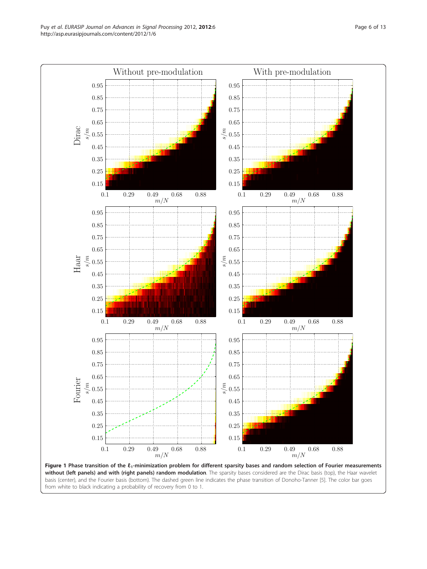<span id="page-6-0"></span>

without (left panels) and with (right panels) random modulation. The sparsity bases considered are the Dirac basis (top), the Haar wavelet basis (center), and the Fourier basis (bottom). The dashed green line indicates the phase transition of Donoho-Tanner [\[5](#page-12-0)]. The color bar goes from white to black indicating a probability of recovery from 0 to 1.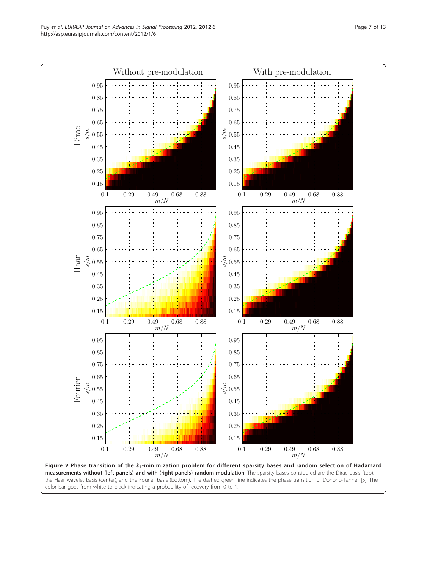<span id="page-7-0"></span>

measurements without (left panels) and with (right panels) random modulation. The sparsity bases considered are the Dirac basis (top), the Haar wavelet basis (center), and the Fourier basis (bottom). The dashed green line indicates the phase transition of Donoho-Tanner [[5](#page-12-0)]. The color bar goes from white to black indicating a probability of recovery from 0 to 1.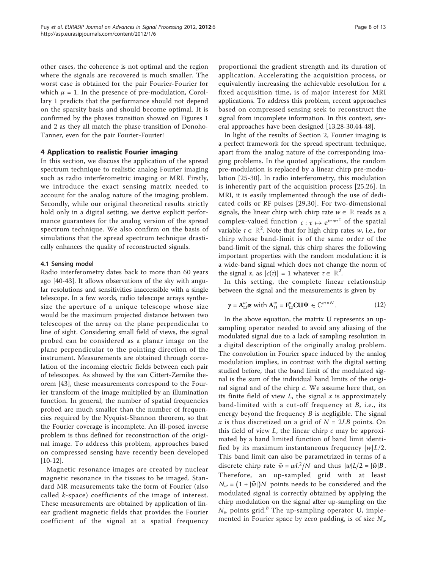other cases, the coherence is not optimal and the region where the signals are recovered is much smaller. The worst case is obtained for the pair Fourier-Fourier for which  $\mu = 1$ . In the presence of pre-modulation, Corollary 1 predicts that the performance should not depend on the sparsity basis and should become optimal. It is confirmed by the phases transition showed on Figures [1](#page-6-0) and [2](#page-7-0) as they all match the phase transition of Donoho-Tanner, even for the pair Fourier-Fourier!

#### 4 Application to realistic Fourier imaging

In this section, we discuss the application of the spread spectrum technique to realistic analog Fourier imaging such as radio interferometric imaging or MRI. Firstly, we introduce the exact sensing matrix needed to account for the analog nature of the imaging problem. Secondly, while our original theoretical results strictly hold only in a digital setting, we derive explicit performance guarantees for the analog version of the spread spectrum technique. We also confirm on the basis of simulations that the spread spectrum technique drastically enhances the quality of reconstructed signals.

#### 4.1 Sensing model

Radio interferometry dates back to more than 60 years ago [\[40](#page-13-0)-[43\]](#page-13-0). It allows observations of the sky with angular resolutions and sensitivities inaccessible with a single telescope. In a few words, radio telescope arrays synthesize the aperture of a unique telescope whose size would be the maximum projected distance between two telescopes of the array on the plane perpendicular to line of sight. Considering small field of views, the signal probed can be considered as a planar image on the plane perpendicular to the pointing direction of the instrument. Measurements are obtained through correlation of the incoming electric fields between each pair of telescopes. As showed by the van Cittert-Zernike theorem [[43\]](#page-13-0), these measurements correspond to the Fourier transform of the image multiplied by an illumination function. In general, the number of spatial frequencies probed are much smaller than the number of frequencies required by the Nyquist-Shannon theorem, so that the Fourier coverage is incomplete. An ill-posed inverse problem is thus defined for reconstruction of the original image. To address this problem, approaches based on compressed sensing have recently been developed [[10-12\]](#page-12-0).

Magnetic resonance images are created by nuclear magnetic resonance in the tissues to be imaged. Standard MR measurements take the form of Fourier (also called k-space) coefficients of the image of interest. These measurements are obtained by application of linear gradient magnetic fields that provides the Fourier coefficient of the signal at a spatial frequency

proportional the gradient strength and its duration of application. Accelerating the acquisition process, or equivalently increasing the achievable resolution for a fixed acquisition time, is of major interest for MRI applications. To address this problem, recent approaches based on compressed sensing seek to reconstruct the signal from incomplete information. In this context, several approaches have been designed [[13,](#page-12-0)[28-30,44-48](#page-13-0)].

In light of the results of Section 2, Fourier imaging is a perfect framework for the spread spectrum technique, apart from the analog nature of the corresponding imaging problems. In the quoted applications, the random pre-modulation is replaced by a linear chirp pre-modulation [\[25](#page-12-0)-[30](#page-13-0)]. In radio interferometry, this modulation is inherently part of the acquisition process [[25](#page-12-0),[26\]](#page-13-0). In MRI, it is easily implemented through the use of dedicated coils or RF pulses [[29](#page-13-0),[30](#page-13-0)]. For two-dimensional signals, the linear chirp with chirp rate  $w \in \mathbb{R}$  reads as a complex-valued function  $c : \tau \mapsto e^{i\pi w \tau^2}$  of the spatial variable  $\tau \in \mathbb{R}^2$ . Note that for high chirp rates w, i.e., for chirp whose band-limit is of the same order of the band-limit of the signal, this chirp shares the following important properties with the random modulation: it is a wide-band signal which does not change the norm of the signal x, as  $|c(\tau)| = 1$  whatever  $\tau \in \mathbb{R}^2$ .

In this setting, the complete linear relationship between the signal and the measurements is given by

$$
\gamma = \mathbf{A}_{\Omega}^w \boldsymbol{\alpha} \text{ with } \mathbf{A}_{\Omega}^w = \mathbf{F}_{\Omega}^* \mathbf{C} \mathbf{U} \boldsymbol{\Psi} \in \mathbb{C}^{m \times N}.
$$
 (12)

In the above equation, the matrix U represents an upsampling operator needed to avoid any aliasing of the modulated signal due to a lack of sampling resolution in a digital description of the originally analog problem. The convolution in Fourier space induced by the analog modulation implies, in contrast with the digital setting studied before, that the band limit of the modulated signal is the sum of the individual band limits of the original signal and of the chirp c. We assume here that, on its finite field of view  $L$ , the signal  $x$  is approximately band-limited with a cut-off frequency at  $B$ , i.e., its energy beyond the frequency  $B$  is negligible. The signal x is thus discretized on a grid of  $N = 2LB$  points. On this field of view  $L$ , the linear chirp  $c$  may be approximated by a band limited function of band limit identified by its maximum instantaneous frequency  $|w|L/2$ . This band limit can also be parametrized in terms of a discrete chirp rate  $\bar{w} = wL^2/N$  and thus  $|w|L/2 = |\bar{w}|B$ . Therefore, an up-sampled grid with at least  $N_w = (1 + |\bar{w}|)N$  points needs to be considered and the modulated signal is correctly obtained by applying the chirp modulation on the signal after up-sampling on the  $N_w$  points grid.<sup>b</sup> The up-sampling operator U, implemented in Fourier space by zero padding, is of size  $N_w$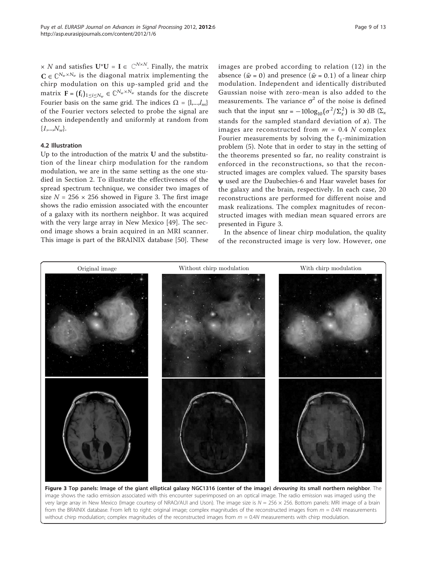<span id="page-9-0"></span> $\times$   $N$  and satisfies  $\mathbf{U}^*\mathbf{U} = \mathbf{I} \in \mathbb{C}^{N \times N}$ . Finally, the matrix  $\mathbf{C} \in \mathbb{C}^{N_w \times N_w}$  is the diagonal matrix implementing the chirp modulation on this up-sampled grid and the matrix  $\mathbf{F} = (\mathbf{f}_i)_{1 \leq i \leq N_w} \in \mathbb{C}^{N_w \times N_w}$  stands for the discrete Fourier basis on the same grid. The indices  $\Omega = \{l,...,l_m\}$ of the Fourier vectors selected to probe the signal are chosen independently and uniformly at random from  $\{1,...,N_{w}\}.$ 

#### 4.2 Illustration

Up to the introduction of the matrix U and the substitution of the linear chirp modulation for the random modulation, we are in the same setting as the one studied in Section 2. To illustrate the effectiveness of the spread spectrum technique, we consider two images of size  $N = 256 \times 256$  showed in Figure 3. The first image shows the radio emission associated with the encounter of a galaxy with its northern neighbor. It was acquired with the very large array in New Mexico [\[49](#page-13-0)]. The second image shows a brain acquired in an MRI scanner. This image is part of the BRAINIX database [[50](#page-13-0)]. These

images are probed according to relation (12) in the absence  $(\bar{w} = 0)$  and presence  $(\bar{w} = 0.1)$  of a linear chirp modulation. Independent and identically distributed Gaussian noise with zero-mean is also added to the measurements. The variance  $\sigma^2$  of the noise is defined such that the input  $\text{snr} = -10\log_{10}(\sigma^2/\Sigma_x^2)$  is 30 dB ( $\Sigma_x$ ) stands for the sampled standard deviation of  $x$ ). The images are reconstructed from  $m = 0.4$  N complex Fourier measurements by solving the  $\ell_1$ -minimization problem (5). Note that in order to stay in the setting of the theorems presented so far, no reality constraint is enforced in the reconstructions, so that the reconstructed images are complex valued. The sparsity bases ψ used are the Daubechies-6 and Haar wavelet bases for the galaxy and the brain, respectively. In each case, 20 reconstructions are performed for different noise and mask realizations. The complex magnitudes of reconstructed images with median mean squared errors are presented in Figure 3.

In the absence of linear chirp modulation, the quality of the reconstructed image is very low. However, one



Figure 3 Top panels: Image of the giant elliptical galaxy NGC1316 (center of the image) devouring its small northern neighbor. The image shows the radio emission associated with this encounter superimposed on an optical image. The radio emission was imaged using the very large array in New Mexico (Image courtesy of NRAO/AUI and Uson). The image size is  $N = 256 \times 256$ . Bottom panels: MRI image of a brain from the BRAINIX database. From left to right: original image; complex magnitudes of the reconstructed images from  $m = 0.4N$  measurements without chirp modulation; complex magnitudes of the reconstructed images from  $m = 0.4N$  measurements with chirp modulation.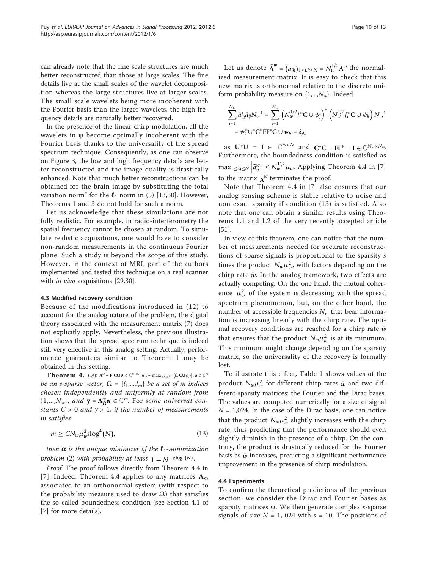can already note that the fine scale structures are much better reconstructed than those at large scales. The fine details live at the small scales of the wavelet decomposition whereas the large structures live at larger scales. The small scale wavelets being more incoherent with the Fourier basis than the larger wavelets, the high frequency details are naturally better recovered.

In the presence of the linear chirp modulation, all the wavelets in  $\psi$  become optimally incoherent with the Fourier basis thanks to the universality of the spread spectrum technique. Consequently, as one can observe on Figure [3,](#page-9-0) the low and high frequency details are better reconstructed and the image quality is drastically enhanced. Note that much better reconstructions can be obtained for the brain image by substituting the total variation norm<sup>c</sup> for the  $\ell_1$  norm in (5) [\[13](#page-12-0),[30](#page-13-0)]. However, Theorems 1 and 3 do not hold for such a norm.

Let us acknowledge that these simulations are not fully realistic. For example, in radio-interferometry the spatial frequency cannot be chosen at random. To simulate realistic acquisitions, one would have to consider non-random measurements in the continuous Fourier plane. Such a study is beyond the scope of this study. However, in the context of MRI, part of the authors implemented and tested this technique on a real scanner with *in vivo* acquisitions [[29,30](#page-13-0)].

#### 4.3 Modified recovery condition

Because of the modifications introduced in (12) to account for the analog nature of the problem, the digital theory associated with the measurement matrix (7) does not explicitly apply. Nevertheless, the previous illustration shows that the spread spectrum technique is indeed still very effective in this analog setting. Actually, performance guarantees similar to Theorem 1 may be obtained in this setting.

**Theorem 4.** Let  $A^w = F^* C U \Psi \in \mathbb{C}^{m \times N}$ ,  $\mu_w = \max_{1 \le i,j \le N} |\langle f_i, C U \psi_j \rangle|$ ,  $\alpha \in \mathbb{C}^N$ be an s-sparse vector,  $\Omega = \{l_1,...,l_m\}$  be a set of m indices chosen independently and uniformly at random from  $\{1,...,N_w\}$ , and  $y = A^w_{\Omega} \alpha \in \mathbb{C}^m$ . For some universal constants  $C > 0$  and  $\gamma > 1$ , if the number of measurements m satisfies

$$
m \geq CN_w\mu_w^2 \text{slog}^4(N),\tag{13}
$$

then  $\alpha$  is the unique minimizer of the  $\ell_1$ -minimization problem (2) with probability at least  $1 - N^{-\gamma \log^3(N)}$ .

Proof. The proof follows directly from Theorem 4.4 in [[7](#page-12-0)]. Indeed, Theorem 4.4 applies to any matrices  $A_{\Omega}$ associated to an orthonormal system (with respect to the probability measure used to draw  $Ω$ ) that satisfies the so-called boundedness condition (see Section 4.1 of [[7\]](#page-12-0) for more details).

Let us denote  $\tilde{\mathbf{A}}^w = (\tilde{a}_{ik})_{1 \leq i,k \leq N} = N_w^{1/2} \mathbf{A}^w$  the normalized measurement matrix. It is easy to check that this new matrix is orthonormal relative to the discrete uniform probability measure on  $\{1,...,N_{w}\}\$ . Indeed

$$
\sum_{i=1}^{N_w} \tilde{a}_{ik}^* \tilde{a}_{ij} N_w^{-1} = \sum_{i=1}^{N_w} \left( N_w^{1/2} f_i^* \mathbf{C} \cup \psi_j \right)^* \left( N_w^{1/2} f_i^* \mathbf{C} \cup \psi_k \right) N_w^{-1}
$$
  
=  $\psi_j^* \cup^* \mathbf{C}^* \mathbf{F} \mathbf{F}^* \mathbf{C} \cup \psi_k = \delta_{jk},$ 

as  $\mathbf{U}^* \mathbf{U} = \mathbf{I} \in \mathbb{C}^{N \times N}$  and  $\mathbf{C}^* \mathbf{C} = \mathbf{F} \mathbf{F}^* = \mathbf{I} \in \mathbb{C}^{N_w \times N_w}$ . Furthermore, the boundedness condition is satisfied as  $\max_{1 \le i,j \le N} \left| \tilde{a}_{ij}^w \right| \le N_w^{1/2} \mu_w$ . Applying Theorem 4.4 in [\[7](#page-12-0)] to the matrix  $\tilde{\mathbf{A}}^w$  terminates the proof.

Note that Theorem 4.4 in [[7\]](#page-12-0) also ensures that our analog sensing scheme is stable relative to noise and non exact sparsity if condition (13) is satisfied. Also note that one can obtain a similar results using Theorems 1.1 and 1.2 of the very recently accepted article [[51\]](#page-13-0).

In view of this theorem, one can notice that the number of measurements needed for accurate reconstructions of sparse signals is proportional to the sparsity s times the product  $N_w \mu_w^2$ , with factors depending on the chirp rate  $\bar{w}$ . In the analog framework, two effects are actually competing. On the one hand, the mutual coherence  $\mu_w^2$  of the system is decreasing with the spread spectrum phenomenon, but, on the other hand, the number of accessible frequencies  $N_w$  that bear information is increasing linearly with the chirp rate. The optimal recovery conditions are reached for a chirp rate  $\bar{w}$ that ensures that the product  $N_w \mu_w^2$  is at its minimum. This minimum might change depending on the sparsity matrix, so the universality of the recovery is formally lost.

To illustrate this effect, Table [1](#page-2-0) shows values of the product  $N_w \mu_w^2$  for different chirp rates  $\bar{w}$  and two different sparsity matrices: the Fourier and the Dirac bases. The values are computed numerically for a size of signal  $N = 1,024$ . In the case of the Dirac basis, one can notice that the product  $N_w \mu_w^2$  slightly increases with the chirp rate, thus predicting that the performance should even slightly diminish in the presence of a chirp. On the contrary, the product is drastically reduced for the Fourier basis as  $\bar{w}$  increases, predicting a significant performance improvement in the presence of chirp modulation.

#### 4.4 Experiments

To confirm the theoretical predictions of the previous section, we consider the Dirac and Fourier bases as sparsity matrices  $\psi$ . We then generate complex s-sparse signals of size  $N = 1$ , 024 with  $s = 10$ . The positions of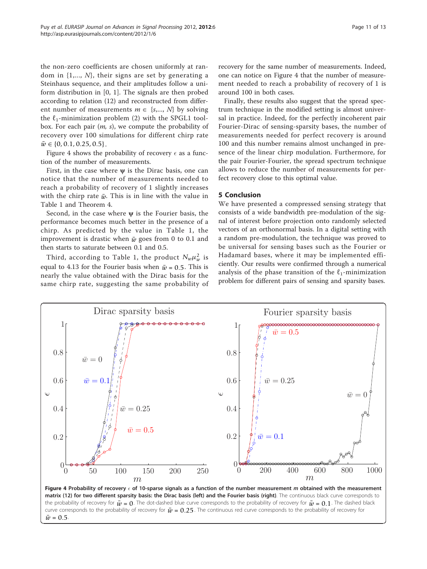the non-zero coefficients are chosen uniformly at random in  $\{1,..., N\}$ , their signs are set by generating a Steinhaus sequence, and their amplitudes follow a uniform distribution in [0, 1]. The signals are then probed according to relation (12) and reconstructed from different number of measurements  $m \in \{s,..., N\}$  by solving the  $\ell_1$ -minimization problem (2) with the SPGL1 toolbox. For each pair  $(m, s)$ , we compute the probability of recovery over 100 simulations for different chirp rate

Figure 4 shows the probability of recovery  $\epsilon$  as a function of the number of measurements.

 $\bar{w} \in \{0, 0.1, 0.25, 0.5\}.$ 

First, in the case where  $\psi$  is the Dirac basis, one can notice that the number of measurements needed to reach a probability of recovery of 1 slightly increases with the chirp rate  $\bar{w}$ . This is in line with the value in Table [1](#page-2-0) and Theorem 4.

Second, in the case where  $\psi$  is the Fourier basis, the performance becomes much better in the presence of a chirp. As predicted by the value in Table [1,](#page-2-0) the improvement is drastic when  $\bar{w}$  goes from 0 to 0.1 and then starts to saturate between 0.1 and 0.5.

Third, according to Table [1](#page-2-0), the product  $N_w \mu_w^2$  is equal to 4.13 for the Fourier basis when  $\bar{w}$  = 0.5. This is nearly the value obtained with the Dirac basis for the same chirp rate, suggesting the same probability of recovery for the same number of measurements. Indeed, one can notice on Figure 4 that the number of measurement needed to reach a probability of recovery of 1 is around 100 in both cases.

Finally, these results also suggest that the spread spectrum technique in the modified setting is almost universal in practice. Indeed, for the perfectly incoherent pair Fourier-Dirac of sensing-sparsity bases, the number of measurements needed for perfect recovery is around 100 and this number remains almost unchanged in presence of the linear chirp modulation. Furthermore, for the pair Fourier-Fourier, the spread spectrum technique allows to reduce the number of measurements for perfect recovery close to this optimal value.

#### 5 Conclusion

We have presented a compressed sensing strategy that consists of a wide bandwidth pre-modulation of the signal of interest before projection onto randomly selected vectors of an orthonormal basis. In a digital setting with a random pre-modulation, the technique was proved to be universal for sensing bases such as the Fourier or Hadamard bases, where it may be implemented efficiently. Our results were confirmed through a numerical analysis of the phase transition of the  $\ell_1$ -minimization problem for different pairs of sensing and sparsity bases.



matrix (12) for two different sparsity basis: the Dirac basis (left) and the Fourier basis (right). The continuous black curve corresponds to the probability of recovery for  $\bar{w} = 0$ . The dot-dashed blue curve corresponds to the probability of recovery for  $\bar{w} = 0.1$ . The dashed black curve corresponds to the probability of recovery for  $\bar{w} = 0.25$ . The continuous red curve corresponds to the probability of recovery for  $\bar{w}$  = 0.5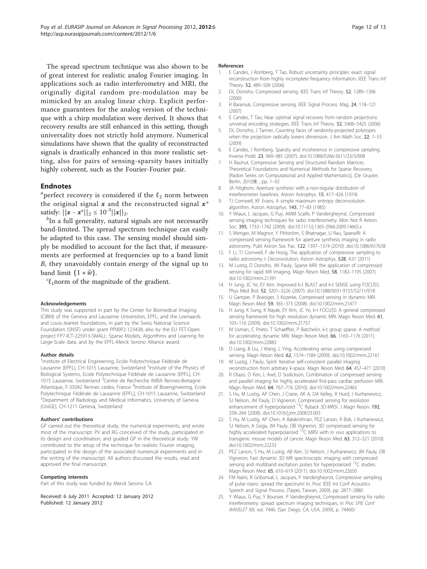<span id="page-12-0"></span>The spread spectrum technique was also shown to be of great interest for realistic analog Fourier imaging. In applications such as radio interferometry and MRI, the originally digital random pre-modulation may be mimicked by an analog linear chirp. Explicit performance guarantees for the analog version of the technique with a chirp modulation were derived. It shows that recovery results are still enhanced in this setting, though universality does not strictly hold anymore. Numerical simulations have shown that the quality of reconstructed signals is drastically enhanced in this more realistic setting, also for pairs of sensing-sparsity bases initially highly coherent, such as the Fourier-Fourier pair.

#### Endnotes

<sup>*a*</sup> perfect recovery is considered if the  $\ell_2$  norm between the original signal  $x$  and the reconstructed signal  $x^*$ satisfy:  $||x - x^*||_2 \le 10^{-3} ||x||_2$ .

 ${}^b$ In a full generality, natural signals are not necessarily band-limited. The spread spectrum technique can easily be adapted to this case. The sensing model should simply be modified to account for the fact that, if measurements are performed at frequencies up to a band limit B, they unavoidably contain energy of the signal up to band limit  $(1 + \bar{w})$ .

 ${}^{c}\ell_{1}$ norm of the magnitude of the gradient.

#### Acknowledgements

This study was supported in part by the Center for Biomedical Imaging (CIBM) of the Geneva and Lausanne Universities, EPFL, and the Leenaards and Louis-Jeantet foundations, in part by the Swiss National Science Foundation (SNSF) under grant PP00P2-123438, also by the EU FET-Open project FP7-ICT-225913-SMALL: Sparse Models, Algorithms and Learning for Large-Scale data, and by the EPFL-Merck Serono Alliance award.

#### Author details

<sup>1</sup>Institute of Electrical Engineering, Ecole Polytechnique Fédérale de Lausanne (EPFL), CH-1015 Lausanne, Switzerland <sup>2</sup>Institute of the Physics of Biological Systems, Ecole Polytechnique Fédérale de Lausanne (EPFL), CH-1015 Lausanne, Switzerland <sup>3</sup>Centre de Recherche INRIA Rennes-Bretagne Atlantique, F-35042 Rennes cedex, France <sup>4</sup>Institute of Bioengineering, Ecole Polytechnique Fédérale de Lausanne (EPFL), CH-1015 Lausanne, Switzerland <sup>5</sup>Department of Radiology and Medical Informatics, University of Geneva (UniGE), CH-1211 Geneva, Switzerland

#### Authors' contributions

GP carried out the theoretical study, the numerical experiments, and wrote most of the manuscript. PV and RG conceived of the study, participated in its design and coordination, and guided GP in the theoretical study. YW contributed to the setup of the technique for realistic Fourier imaging, participated in the design of the associated numerical experiments and in the writing of the manuscript. All authors discussed the results, read and approved the final manuscript.

#### Competing interests

Part of this study was funded by Merck Serono S.A.

Received: 6 July 2011 Accepted: 12 January 2012 Published: 12 January 2012

#### References

- 1. E Candes, J Romberg, T Tao, Robust uncertainty principles: exact signal reconstruction from highly incomplete frequency information. IEEE Trans Inf Theory. 52, 489–509 (2006)
- 2. DL Donoho, Compressed sensing. IEEE Trans Inf Theory. 52, 1289–1306 (2006)
- 3. R Baraniuk, Compressive sensing. IEEE Signal Process. Mag. 24, 118–121 (2007)
- 4. E Candes, T Tao, Near optimal signal recovery from random projections: universal encoding strategies. IEEE Trans Inf Theory. 52, 5406–5425 (2006)
- 5. DL Donoho, J Tanner, Counting faces of randomly-projected polytopes when the projection radically lowers dimension. J Am Math Soc. 22, 1-53 (2009)
- 6. E Candes, J Romberg, Sparsity and incoherence in compressive sampling. Inverse Probl. 23, 969–985 (2007). doi:10.1088/0266-5611/23/3/008
- 7. H Rauhut, Compressive Sensing and Structured Random Matrices. Theoretical Foundations and Numerical Methods for Sparse Recovery, [Radon Series on Computational and Applied Mathematics], (De Gruyter, Berlin, 2010)9, , pp. 1–92
- 8. JA Högbom, Aperture synthesis with a non-regular distribution of interferometer baselines. Astron Astrophys. 15, 417–426 (1974)
- 9. TJ Cornwell, KF Evans, A simple maximum entropy deconvolution algorithm. Astron Astrophys. 143, 77-83 (1985)
- 10. Y Wiaux, L Jacques, G Puy, AMM Scaife, P Vandergheynst, Compressed sensing imaging techniques for radio interferometry. Mon Not R Astron Soc. 395, 1733–1742 (2009). doi:10.1111/j.1365-2966.2009.14665.x
- 11. S Wenger, M Magnor, Y Pihlström, S Bhatnagar, U Rau, SparseRI: A compressed sensing framework for aperture synthesis imaging in radio astronomy. Publ Astron Soc Pac. 122, 1397–1374 (2010). doi:10.1086/657638
- 12. F Li, TJ Cornwell, F de Hoog, The application of compressive sampling to radio astronomy I: Deconvolution. Astron Astrophys. 528, A31 (2011)
- 13. M Lustig, D Donoho, JM Pauly[, Sparse MRI: the application of compressed](http://www.ncbi.nlm.nih.gov/pubmed/17969013?dopt=Abstract) [sensing for rapid MR imaging.](http://www.ncbi.nlm.nih.gov/pubmed/17969013?dopt=Abstract) Magn Reson Med. 58, 1182–1195 (2007). doi:10.1002/mrm.21391
- 14. H Jung, JC Ye, EY Kim[, Improved k-t BLAST and k-t SENSE using FOCUSS.](http://www.ncbi.nlm.nih.gov/pubmed/17505098?dopt=Abstract) Phys Med Biol. 52, 3201–3226 (2007). doi:10.1088/0031-9155/52/11/018
- 15. U Gamper, P Boesiger, S Kozerke, [Compressed sensing in dynamic MRI.](http://www.ncbi.nlm.nih.gov/pubmed/18228595?dopt=Abstract) Magn Reson Med. 59, 365–373 (2008). doi:10.1002/mrm.21477
- 16. H Jung, K Sung, K Nayak, EY Kim, JC Ye[, k-t FOCUSS: A general compressed](http://www.ncbi.nlm.nih.gov/pubmed/19097216?dopt=Abstract) [sensing framework for high resolution dynamic MRI.](http://www.ncbi.nlm.nih.gov/pubmed/19097216?dopt=Abstract) Magn Reson Med. 61, 103–116 (2009). doi:10.1002/mrm.21757
- 17. M Usman, C Prieto, T Schaeffter, P Batchelor, [k-t group sparse: A method](http://www.ncbi.nlm.nih.gov/pubmed/21394781?dopt=Abstract) [for accelerating dynamic MRI.](http://www.ncbi.nlm.nih.gov/pubmed/21394781?dopt=Abstract) Magn Reson Med. 66, 1163–1176 (2011). doi:10.1002/mrm.22883
- 18. D Liang, B Liu, J Wang, L Ying, [Accelerating sense using compressed](http://www.ncbi.nlm.nih.gov/pubmed/19785017?dopt=Abstract) [sensing.](http://www.ncbi.nlm.nih.gov/pubmed/19785017?dopt=Abstract) Magn Reson Med. 62, 1574–1584 (2009). doi:10.1002/mrm.22161
- 19. M Lustig, J Pauly, [Spirit: Iterative self-consistent parallel imaging](http://www.ncbi.nlm.nih.gov/pubmed/20665790?dopt=Abstract) [reconstruction from arbitrary k-space.](http://www.ncbi.nlm.nih.gov/pubmed/20665790?dopt=Abstract) Magn Reson Med. 64, 457–471 (2010)
- 20. R Otazo, D Kim, L Axel, D Sodickson, [Combination of compressed sensing](http://www.ncbi.nlm.nih.gov/pubmed/20535813?dopt=Abstract) [and parallel imaging for highly accelerated first-pass cardiac perfusion MRI.](http://www.ncbi.nlm.nih.gov/pubmed/20535813?dopt=Abstract) Magn Reson Med. 64, 767–776 (2010). doi:10.1002/mrm.22463
- 21. S Hu, M Lustig, AP Chen, J Crane, AK A, DA Kelley, R Hurd, J Kurhanewicz, SJ Nelson, JM Pauly, D Vigneron[, Compressed sensing for resolution](http://www.ncbi.nlm.nih.gov/pubmed/18367420?dopt=Abstract) [enhancement of hyperpolarized](http://www.ncbi.nlm.nih.gov/pubmed/18367420?dopt=Abstract) <sup>13</sup>[C flyback 3D-MRSI.](http://www.ncbi.nlm.nih.gov/pubmed/18367420?dopt=Abstract) J Magn Reson. 192, 258–264 (2008). doi:10.1016/j.jmr.2008.03.003
- 22. S Hu, M Lustig, AP Chen, A Balakrishnan, PEZ Larson, R Bok, J Kurhanewicz, SJ Nelson, A Goga, JM Pauly, DB Vigneron[, 3D compressed sensing for](http://www.ncbi.nlm.nih.gov/pubmed/20017160?dopt=Abstract) [highly accelerated hyperpolarized](http://www.ncbi.nlm.nih.gov/pubmed/20017160?dopt=Abstract) <sup>13</sup>[C MRSI with in vivo applications to](http://www.ncbi.nlm.nih.gov/pubmed/20017160?dopt=Abstract) [transgenic mouse models of cancer.](http://www.ncbi.nlm.nih.gov/pubmed/20017160?dopt=Abstract) Magn Reson Med. 63, 312–321 (2010). doi:10.1002/mrm.22233
- 23. PEZ Larson, S Hu, M Lustig, AB Kerr, SJ Nelson, J Kurhanewicz, JM Pauly, DB Vigneron, [Fast dynamic 3D MR spectroscopic imaging with compressed](http://www.ncbi.nlm.nih.gov/pubmed/20939089?dopt=Abstract) [sensing and multiband excitation pulses for hyperpolarized](http://www.ncbi.nlm.nih.gov/pubmed/20939089?dopt=Abstract) <sup>13</sup>[C studies.](http://www.ncbi.nlm.nih.gov/pubmed/20939089?dopt=Abstract) Magn Reson Med. 65, 610–619 (2011). doi:10.1002/mrm.22650
- 24. FM Naini, R Gribonval, L Jacques, P Vandergheynst, Compressive sampling of pulse trains: spread the spectrum! In, Proc IEEE Int Conf Acoustics Speech and Signal Process, (Taipei, Taiwan, 2009), pp. 2877–2880
- 25. Y Wiaux, G Puy, Y Boursier, P Vandergheynst, Compressed sensing for radio interferometry: spread spectrum imaging techniques, in Proc SPIE Conf WAVELET XIII, vol. 7446. (San Diego, CA, USA, 2009), p. 74460J